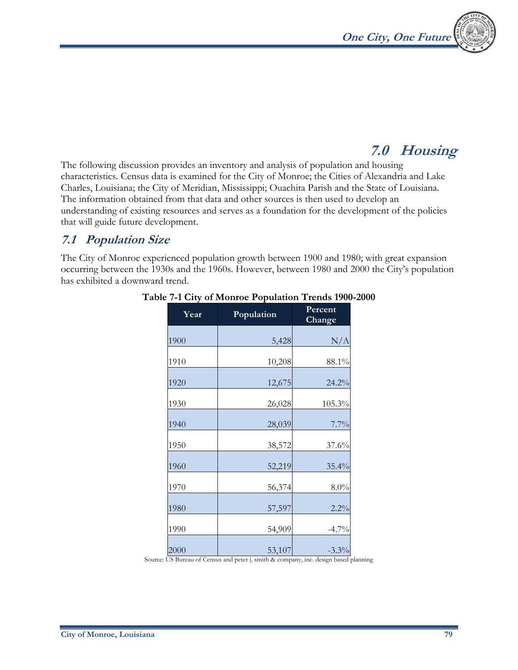

# **7.0 Housing**

The following discussion provides an inventory and analysis of population and housing characteristics. Census data is examined for the City of Monroe; the Cities of Alexandria and Lake Charles, Louisiana; the City of Meridian, Mississippi; Ouachita Parish and the State of Louisiana. The information obtained from that data and other sources is then used to develop an understanding of existing resources and serves as a foundation for the development of the policies that will guide future development.

### **7.1 Population Size**

The City of Monroe experienced population growth between 1900 and 1980; with great expansion occurring between the 1930s and the 1960s. However, between 1980 and 2000 the City's population has exhibited a downward trend.

| Year | Population | Percent<br>Change |
|------|------------|-------------------|
| 1900 | 5,428      | N/A               |
| 1910 | 10,208     | 88.1%             |
| 1920 | 12,675     | 24.2%             |
| 1930 | 26,028     | 105.3%            |
| 1940 | 28,039     | 7.7%              |
| 1950 | 38,572     | 37.6%             |
| 1960 | 52,219     | 35.4%             |
| 1970 | 56,374     | 8.0%              |
| 1980 | 57,597     | 2.2%              |
| 1990 | 54,909     | $-4.7\%$          |
| 2000 | 53,107     | $-3.3\%$          |

#### **Table 7-1 City of Monroe Population Trends 1900-2000**

Source: US Bureau of Census and peter j. smith & company, inc. design based planning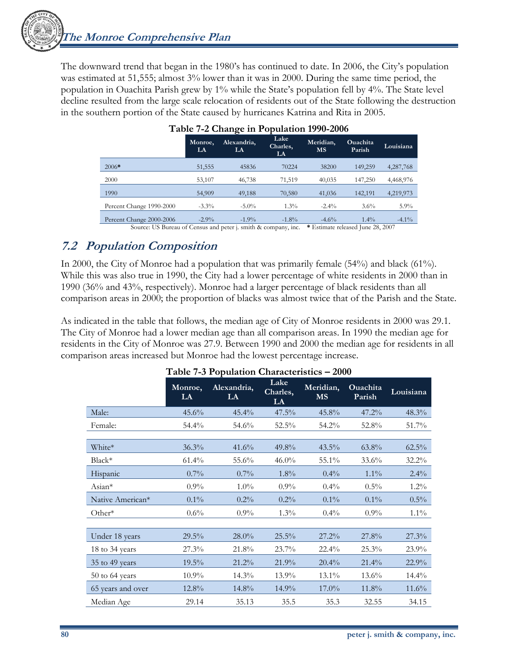The downward trend that began in the 1980's has continued to date. In 2006, the City's population was estimated at 51,555; almost 3% lower than it was in 2000. During the same time period, the population in Ouachita Parish grew by 1% while the State's population fell by 4%. The State level decline resulted from the large scale relocation of residents out of the State following the destruction in the southern portion of the State caused by hurricanes Katrina and Rita in 2005.

|                          | Monroe,<br>LA | Alexandria,<br>LA | Lake<br>Charles,<br>LA | Meridian,<br><b>MS</b> | <b>Ouachita</b><br>Parish | Louisiana |
|--------------------------|---------------|-------------------|------------------------|------------------------|---------------------------|-----------|
| $2006*$                  | 51,555        | 45836             | 70224                  | 38200                  | 149,259                   | 4,287,768 |
| 2000                     | 53,107        | 46,738            | 71,519                 | 40,035                 | 147,250                   | 4,468,976 |
| 1990                     | 54,909        | 49,188            | 70,580                 | 41,036                 | 142.191                   | 4,219,973 |
| Percent Change 1990-2000 | $-3.3\%$      | $-5.0\%$          | $1.3\%$                | $-2.4\%$               | $3.6\%$                   | $5.9\%$   |
| Percent Change 2000-2006 | $-2.9\%$      | $-1.9\%$          | $-1.8%$                | $-4.6%$                | $1.4\%$                   | $-4.1\%$  |

### **Table 7-2 Change in Population 1990-2006**

Source: US Bureau of Census and peter j. smith & company, inc. **\*** Estimate released June 28, 2007

### **7.2 Population Composition**

In 2000, the City of Monroe had a population that was primarily female (54%) and black (61%). While this was also true in 1990, the City had a lower percentage of white residents in 2000 than in 1990 (36% and 43%, respectively). Monroe had a larger percentage of black residents than all comparison areas in 2000; the proportion of blacks was almost twice that of the Parish and the State.

As indicated in the table that follows, the median age of City of Monroe residents in 2000 was 29.1. The City of Monroe had a lower median age than all comparison areas. In 1990 the median age for residents in the City of Monroe was 27.9. Between 1990 and 2000 the median age for residents in all comparison areas increased but Monroe had the lowest percentage increase.

|                   | Monroe,<br>LA | Alexandria,<br>LA | Lake<br>Charles,<br>LA | Meridian,<br><b>MS</b> | <b>Ouachita</b><br>Parish | Louisiana |
|-------------------|---------------|-------------------|------------------------|------------------------|---------------------------|-----------|
| Male:             | 45.6%         | $45.4\%$          | 47.5%                  | 45.8%                  | 47.2%                     | $48.3\%$  |
| Female:           | 54.4%         | 54.6%             | $52.5\%$               | 54.2%                  | 52.8%                     | 51.7%     |
|                   |               |                   |                        |                        |                           |           |
| White*            | 36.3%         | 41.6%             | 49.8%                  | $43.5\%$               | 63.8%                     | $62.5\%$  |
| $Black*$          | $61.4\%$      | 55.6%             | $46.0\%$               | 55.1%                  | 33.6%                     | 32.2%     |
| Hispanic          | $0.7\%$       | $0.7\%$           | $1.8\%$                | 0.4%                   | $1.1\%$                   | $2.4\%$   |
| Asian*            | 0.9%          | $1.0\%$           | $0.9\%$                | $0.4\%$                | $0.5\%$                   | $1.2\%$   |
| Native American*  | $0.1\%$       | $0.2\%$           | $0.2\%$                | $0.1\%$                | $0.1\%$                   | $0.5\%$   |
| Other $*$         | $0.6\%$       | $0.9\%$           | $1.3\%$                | $0.4\%$                | $0.9\%$                   | $1.1\%$   |
|                   |               |                   |                        |                        |                           |           |
| Under 18 years    | $29.5\%$      | $28.0\%$          | $25.5\%$               | 27.2%                  | 27.8%                     | 27.3%     |
| 18 to 34 years    | 27.3%         | 21.8%             | 23.7%                  | $22.4\%$               | 25.3%                     | 23.9%     |
| 35 to 49 years    | $19.5\%$      | $21.2\%$          | 21.9%                  | 20.4%                  | 21.4%                     | 22.9%     |
| $50$ to 64 years  | 10.9%         | $14.3\%$          | 13.9%                  | 13.1%                  | 13.6%                     | $14.4\%$  |
| 65 years and over | 12.8%         | 14.8%             | $14.9\%$               | $17.0\%$               | 11.8%                     | $11.6\%$  |
| Median Age        | 29.14         | 35.13             | 35.5                   | 35.3                   | 32.55                     | 34.15     |

#### **Table 7-3 Population Characteristics – 2000**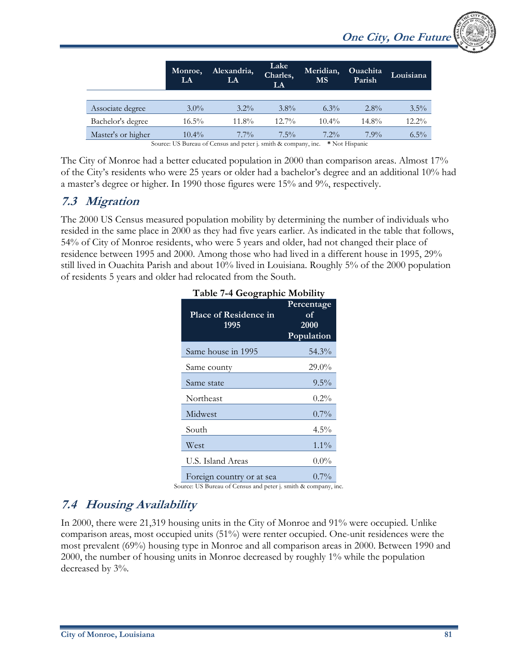|                    | Monroe,<br>LA | Alexandria,<br>LA                                             | Lake<br>Charles,<br><b>LA</b> | Meridian,<br><b>MS</b> | <b>Ouachita</b><br>Parish | Louisiana |
|--------------------|---------------|---------------------------------------------------------------|-------------------------------|------------------------|---------------------------|-----------|
|                    |               |                                                               |                               |                        |                           |           |
| Associate degree   | $3.0\%$       | $3.2\%$                                                       | $3.8\%$                       | $6.3\%$                | $2.8\%$                   | $3.5\%$   |
| Bachelor's degree  | $16.5\%$      | $11.8\%$                                                      | $12.7\%$                      | $10.4\%$               | $14.8\%$                  | 12.2%     |
| Master's or higher | $10.4\%$      | $7.7\%$                                                       | $7.5\%$                       | $7.2\%$                | $7.9\%$                   | $6.5\%$   |
|                    |               | Source: US Burgay of Congus and potential units & company inc |                               |                        | $*$ Not Higgsonic         |           |

Bureau of Census and peter j. smith & company, inc.

The City of Monroe had a better educated population in 2000 than comparison areas. Almost 17% of the City's residents who were 25 years or older had a bachelor's degree and an additional 10% had a master's degree or higher. In 1990 those figures were 15% and 9%, respectively.

### **7.3 Migration**

The 2000 US Census measured population mobility by determining the number of individuals who resided in the same place in 2000 as they had five years earlier. As indicated in the table that follows, 54% of City of Monroe residents, who were 5 years and older, had not changed their place of residence between 1995 and 2000. Among those who had lived in a different house in 1995, 29% still lived in Ouachita Parish and about 10% lived in Louisiana. Roughly 5% of the 2000 population of residents 5 years and older had relocated from the South.

|                                      | Table 7-4 Geographic Mobility                              |  |  |  |  |
|--------------------------------------|------------------------------------------------------------|--|--|--|--|
| <b>Place of Residence in</b><br>1995 | Percentage<br>$\overline{\text{of}}$<br>2000<br>Population |  |  |  |  |
| Same house in 1995                   | 54.3%                                                      |  |  |  |  |
| Same county                          | 29.0%                                                      |  |  |  |  |
| Same state                           | $9.5\%$                                                    |  |  |  |  |
| Northeast                            | $0.2\%$                                                    |  |  |  |  |
| Midwest                              | $0.7\%$                                                    |  |  |  |  |
| South                                | $4.5\%$                                                    |  |  |  |  |
| West                                 | $1.1\%$                                                    |  |  |  |  |
| U.S. Island Areas                    | $0.0\%$                                                    |  |  |  |  |
| Foreign country or at sea            | $0.7\%$                                                    |  |  |  |  |

Source: US Bureau of Census and peter j. smith & company, inc.

# **7.4 Housing Availability**

In 2000, there were 21,319 housing units in the City of Monroe and 91% were occupied. Unlike comparison areas, most occupied units (51%) were renter occupied. One-unit residences were the most prevalent (69%) housing type in Monroe and all comparison areas in 2000. Between 1990 and 2000, the number of housing units in Monroe decreased by roughly 1% while the population decreased by 3%.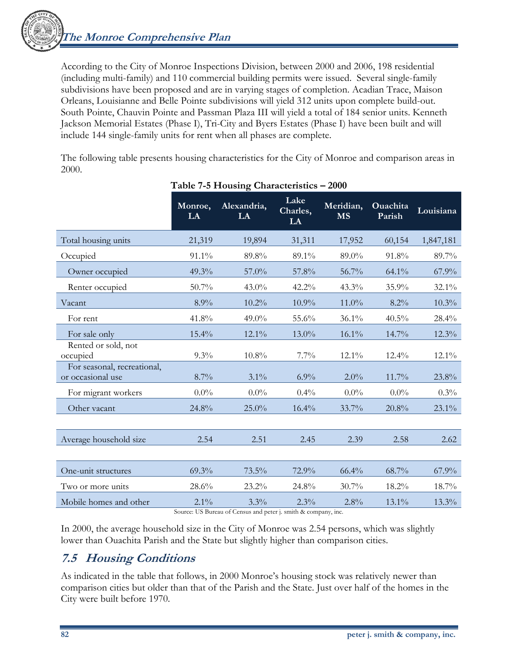**The Monroe Comprehensive Plan** 

According to the City of Monroe Inspections Division, between 2000 and 2006, 198 residential (including multi-family) and 110 commercial building permits were issued. Several single-family subdivisions have been proposed and are in varying stages of completion. Acadian Trace, Maison Orleans, Louisianne and Belle Pointe subdivisions will yield 312 units upon complete build-out. South Pointe, Chauvin Pointe and Passman Plaza III will yield a total of 184 senior units. Kenneth Jackson Memorial Estates (Phase I), Tri-City and Byers Estates (Phase I) have been built and will include 144 single-family units for rent when all phases are complete.

The following table presents housing characteristics for the City of Monroe and comparison areas in 2000.

|                                                  | Monroe,<br>LA | Alexandria,<br>LA | Lake<br>Charles,<br>LA | Meridian,<br><b>MS</b> | Ouachita<br>Parish | Louisiana |
|--------------------------------------------------|---------------|-------------------|------------------------|------------------------|--------------------|-----------|
| Total housing units                              | 21,319        | 19,894            | 31,311                 | 17,952                 | 60,154             | 1,847,181 |
| Occupied                                         | 91.1%         | 89.8%             | 89.1%                  | 89.0%                  | 91.8%              | 89.7%     |
| Owner occupied                                   | 49.3%         | 57.0%             | 57.8%                  | 56.7%                  | $64.1\%$           | 67.9%     |
| Renter occupied                                  | 50.7%         | $43.0\%$          | 42.2%                  | 43.3%                  | 35.9%              | 32.1%     |
| Vacant                                           | 8.9%          | 10.2%             | 10.9%                  | 11.0%                  | 8.2%               | 10.3%     |
| For rent                                         | 41.8%         | 49.0%             | 55.6%                  | 36.1%                  | $40.5\%$           | 28.4%     |
| For sale only                                    | 15.4%         | 12.1%             | 13.0%                  | 16.1%                  | 14.7%              | $12.3\%$  |
| Rented or sold, not<br>occupied                  | 9.3%          | $10.8\%$          | 7.7%                   | $12.1\%$               | $12.4\%$           | $12.1\%$  |
| For seasonal, recreational,<br>or occasional use | 8.7%          | $3.1\%$           | 6.9%                   | 2.0%                   | $11.7\%$           | 23.8%     |
| For migrant workers                              | $0.0\%$       | $0.0\%$           | 0.4%                   | $0.0\%$                | $0.0\%$            | $0.3\%$   |
| Other vacant                                     | 24.8%         | 25.0%             | 16.4%                  | 33.7%                  | 20.8%              | $23.1\%$  |
|                                                  |               |                   |                        |                        |                    |           |
| Average household size                           | 2.54          | 2.51              | 2.45                   | 2.39                   | 2.58               | 2.62      |
|                                                  |               |                   |                        |                        |                    |           |
| One-unit structures                              | 69.3%         | 73.5%             | 72.9%                  | 66.4%                  | 68.7%              | 67.9%     |
| Two or more units                                | 28.6%         | 23.2%             | 24.8%                  | 30.7%                  | 18.2%              | 18.7%     |
| Mobile homes and other                           | $2.1\%$       | 3.3%              | 2.3%                   | 2.8%                   | 13.1%              | 13.3%     |

#### **Table 7-5 Housing Characteristics – 2000**

Source: US Bureau of Census and peter j. smith & company, inc.

In 2000, the average household size in the City of Monroe was 2.54 persons, which was slightly lower than Ouachita Parish and the State but slightly higher than comparison cities.

### **7.5 Housing Conditions**

As indicated in the table that follows, in 2000 Monroe's housing stock was relatively newer than comparison cities but older than that of the Parish and the State. Just over half of the homes in the City were built before 1970.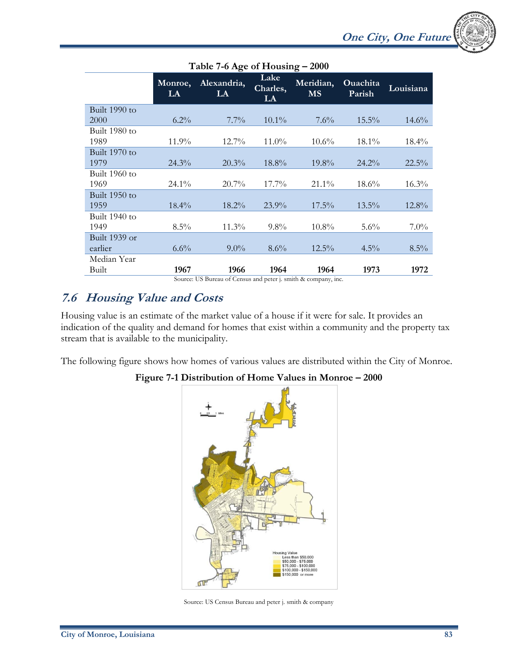|                 | Table 7-6 Age of Housing - 2000 |                   |                        |                        |                           |           |  |  |
|-----------------|---------------------------------|-------------------|------------------------|------------------------|---------------------------|-----------|--|--|
|                 | Monroe,<br>LA                   | Alexandria,<br>LA | Lake<br>Charles,<br>LA | Meridian,<br><b>MS</b> | <b>Ouachita</b><br>Parish | Louisiana |  |  |
| Built 1990 to   |                                 |                   |                        |                        |                           |           |  |  |
| 2000            | $6.2\%$                         | $7.7\%$           | $10.1\%$               | $7.6\%$                | $15.5\%$                  | $14.6\%$  |  |  |
| Built 1980 to   |                                 |                   |                        |                        |                           |           |  |  |
| 1989            | $11.9\%$                        | $12.7\%$          | $11.0\%$               | $10.6\%$               | $18.1\%$                  | $18.4\%$  |  |  |
| Built 1970 to   |                                 |                   |                        |                        |                           |           |  |  |
| 1979            | $24.3\%$                        | 20.3%             | 18.8%                  | 19.8%                  | $24.2\%$                  | $22.5\%$  |  |  |
| Built 1960 to   |                                 |                   |                        |                        |                           |           |  |  |
| 1969            | $24.1\%$                        | $20.7\%$          | $17.7\%$               | 21.1%                  | $18.6\%$                  | $16.3\%$  |  |  |
| Built $1950$ to |                                 |                   |                        |                        |                           |           |  |  |
| 1959            | $18.4\%$                        | $18.2\%$          | $23.9\%$               | $17.5\%$               | $13.5\%$                  | $12.8\%$  |  |  |
| Built 1940 to   |                                 |                   |                        |                        |                           |           |  |  |
| 1949            | $8.5\%$                         | $11.3\%$          | $9.8\%$                | $10.8\%$               | $5.6\%$                   | $7.0\%$   |  |  |
| Built 1939 or   |                                 |                   |                        |                        |                           |           |  |  |
| earlier         | $6.6\%$                         | $9.0\%$           | $8.6\%$                | $12.5\%$               | $4.5\%$                   | $8.5\%$   |  |  |
| Median Year     |                                 |                   |                        |                        |                           |           |  |  |
| Built           | 1967                            | 1966              | 1964                   | 1964                   | 1973                      | 1972      |  |  |

Source: US Bureau of Census and peter j. smith & company, inc.

### **7.6 Housing Value and Costs**

Housing value is an estimate of the market value of a house if it were for sale. It provides an indication of the quality and demand for homes that exist within a community and the property tax stream that is available to the municipality.

The following figure shows how homes of various values are distributed within the City of Monroe.

#### **Figure 7-1 Distribution of Home Values in Monroe – 2000**



Source: US Census Bureau and peter j. smith & company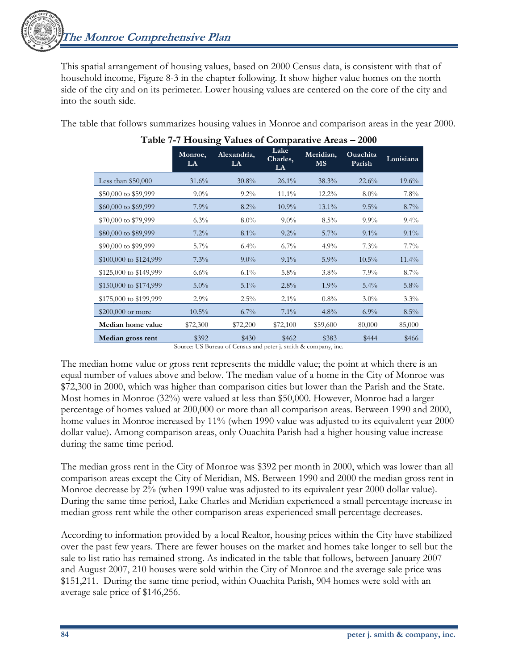**The Monroe Comprehensive Plan** 

This spatial arrangement of housing values, based on 2000 Census data, is consistent with that of household income, Figure 8-3 in the chapter following. It show higher value homes on the north side of the city and on its perimeter. Lower housing values are centered on the core of the city and into the south side.

The table that follows summarizes housing values in Monroe and comparison areas in the year 2000.

|                        | Monroe,<br>LA | Alexandria,<br>LA | Lake<br>Charles,<br>LA | Meridian,<br><b>MS</b> | <b>Ouachita</b><br>Parish | Louisiana |
|------------------------|---------------|-------------------|------------------------|------------------------|---------------------------|-----------|
| Less than $$50,000$    | 31.6%         | $30.8\%$          | $26.1\%$               | 38.3%                  | 22.6%                     | $19.6\%$  |
| \$50,000 to \$59,999   | $9.0\%$       | $9.2\%$           | $11.1\%$               | $12.2\%$               | $8.0\%$                   | $7.8\%$   |
| \$60,000 to \$69,999   | $7.9\%$       | $8.2\%$           | $10.9\%$               | $13.1\%$               | $9.5\%$                   | $8.7\%$   |
| \$70,000 to \$79,999   | $6.3\%$       | $8.0\%$           | $9.0\%$                | $8.5\%$                | $9.9\%$                   | $9.4\%$   |
| \$80,000 to \$89,999   | $7.2\%$       | $8.1\%$           | $9.2\%$                | $5.7\%$                | $9.1\%$                   | $9.1\%$   |
| \$90,000 to \$99,999   | $5.7\%$       | $6.4\%$           | $6.7\%$                | $4.9\%$                | 7.3%                      | $7.7\%$   |
| \$100,000 to \$124,999 | $7.3\%$       | $9.0\%$           | $9.1\%$                | $5.9\%$                | $10.5\%$                  | $11.4\%$  |
| \$125,000 to \$149,999 | $6.6\%$       | $6.1\%$           | $5.8\%$                | $3.8\%$                | $7.9\%$                   | $8.7\%$   |
| \$150,000 to \$174,999 | $5.0\%$       | $5.1\%$           | 2.8%                   | $1.9\%$                | $5.4\%$                   | $5.8\%$   |
| \$175,000 to \$199,999 | $2.9\%$       | $2.5\%$           | $2.1\%$                | $0.8\%$                | $3.0\%$                   | $3.3\%$   |
| $$200,000$ or more     | $10.5\%$      | $6.7\%$           | $7.1\%$                | 4.8%                   | $6.9\%$                   | 8.5%      |
| Median home value      | \$72,300      | \$72,200          | \$72,100               | \$59,600               | 80,000                    | 85,000    |
| Median gross rent      | \$392         | \$430             | \$462                  | \$383                  | \$444                     | \$466     |

| Table 7-7 Housing Values of Comparative Areas - 2000 |  |  |  |
|------------------------------------------------------|--|--|--|
|                                                      |  |  |  |

Source: US Bureau of Census and peter j. smith & company, inc.

The median home value or gross rent represents the middle value; the point at which there is an equal number of values above and below. The median value of a home in the City of Monroe was \$72,300 in 2000, which was higher than comparison cities but lower than the Parish and the State. Most homes in Monroe (32%) were valued at less than \$50,000. However, Monroe had a larger percentage of homes valued at 200,000 or more than all comparison areas. Between 1990 and 2000, home values in Monroe increased by 11% (when 1990 value was adjusted to its equivalent year 2000 dollar value). Among comparison areas, only Ouachita Parish had a higher housing value increase during the same time period.

The median gross rent in the City of Monroe was \$392 per month in 2000, which was lower than all comparison areas except the City of Meridian, MS. Between 1990 and 2000 the median gross rent in Monroe decrease by 2% (when 1990 value was adjusted to its equivalent year 2000 dollar value). During the same time period, Lake Charles and Meridian experienced a small percentage increase in median gross rent while the other comparison areas experienced small percentage decreases.

According to information provided by a local Realtor, housing prices within the City have stabilized over the past few years. There are fewer houses on the market and homes take longer to sell but the sale to list ratio has remained strong. As indicated in the table that follows, between January 2007 and August 2007, 210 houses were sold within the City of Monroe and the average sale price was \$151,211. During the same time period, within Ouachita Parish, 904 homes were sold with an average sale price of \$146,256.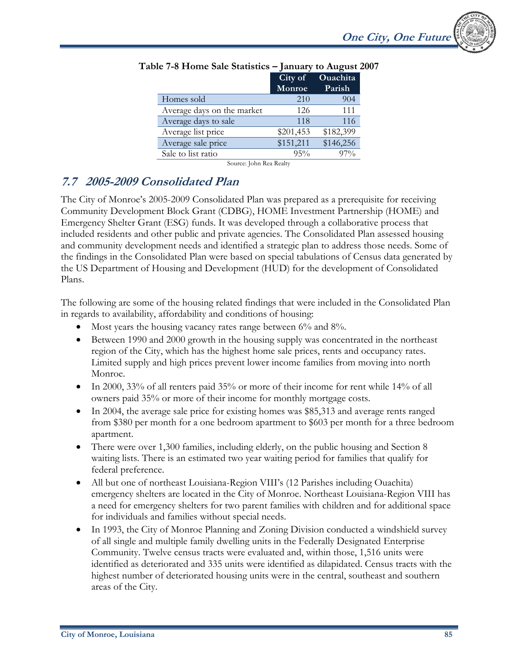|                                   | City of<br>Monroe | Ouachita<br>Parish |
|-----------------------------------|-------------------|--------------------|
| Homes sold                        | 210               | 904                |
| Average days on the market        | 126               | 111                |
| Average days to sale              | 118               | 116                |
| Average list price                | \$201,453         | \$182,399          |
| Average sale price                | \$151,211         | \$146,256          |
| Sale to list ratio                | $95\%$            | 97%                |
| $c \rightarrow 1 \rightarrow n+1$ |                   |                    |

#### **Table 7-8 Home Sale Statistics – January to August 2007**

Source: John Rea Realty

## **7.7 2005-2009 Consolidated Plan**

The City of Monroe's 2005-2009 Consolidated Plan was prepared as a prerequisite for receiving Community Development Block Grant (CDBG), HOME Investment Partnership (HOME) and Emergency Shelter Grant (ESG) funds. It was developed through a collaborative process that included residents and other public and private agencies. The Consolidated Plan assessed housing and community development needs and identified a strategic plan to address those needs. Some of the findings in the Consolidated Plan were based on special tabulations of Census data generated by the US Department of Housing and Development (HUD) for the development of Consolidated Plans.

The following are some of the housing related findings that were included in the Consolidated Plan in regards to availability, affordability and conditions of housing:

- Most years the housing vacancy rates range between 6% and 8%.
- Between 1990 and 2000 growth in the housing supply was concentrated in the northeast region of the City, which has the highest home sale prices, rents and occupancy rates. Limited supply and high prices prevent lower income families from moving into north Monroe.
- In 2000, 33% of all renters paid 35% or more of their income for rent while 14% of all owners paid 35% or more of their income for monthly mortgage costs.
- In 2004, the average sale price for existing homes was \$85,313 and average rents ranged from \$380 per month for a one bedroom apartment to \$603 per month for a three bedroom apartment.
- There were over 1,300 families, including elderly, on the public housing and Section 8 waiting lists. There is an estimated two year waiting period for families that qualify for federal preference.
- All but one of northeast Louisiana-Region VIII's (12 Parishes including Ouachita) emergency shelters are located in the City of Monroe. Northeast Louisiana-Region VIII has a need for emergency shelters for two parent families with children and for additional space for individuals and families without special needs.
- In 1993, the City of Monroe Planning and Zoning Division conducted a windshield survey of all single and multiple family dwelling units in the Federally Designated Enterprise Community. Twelve census tracts were evaluated and, within those, 1,516 units were identified as deteriorated and 335 units were identified as dilapidated. Census tracts with the highest number of deteriorated housing units were in the central, southeast and southern areas of the City.